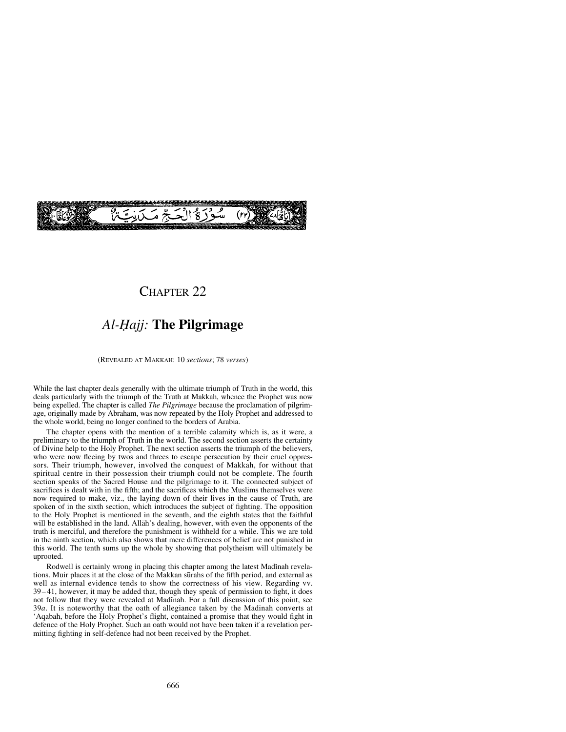

# CHAPTER<sub>22</sub>

# *Al-Ïajj:* **The Pilgrimage**

(REVEALED AT MAKKAH: 10 *sections*; 78 *verses*)

While the last chapter deals generally with the ultimate triumph of Truth in the world, this deals particularly with the triumph of the Truth at Makkah, whence the Prophet was now being expelled. The chapter is called *The Pilgrimage* because the proclamation of pilgrimage, originally made by Abraham, was now repeated by the Holy Prophet and addressed to the whole world, being no longer confined to the borders of Arabia.

The chapter opens with the mention of a terrible calamity which is, as it were, a preliminary to the triumph of Truth in the world. The second section asserts the certainty of Divine help to the Holy Prophet. The next section asserts the triumph of the believers, who were now fleeing by twos and threes to escape persecution by their cruel oppressors. Their triumph, however, involved the conquest of Makkah, for without that spiritual centre in their possession their triumph could not be complete. The fourth section speaks of the Sacred House and the pilgrimage to it. The connected subject of sacrifices is dealt with in the fifth; and the sacrifices which the Muslims themselves were now required to make, viz., the laying down of their lives in the cause of Truth, are spoken of in the sixth section, which introduces the subject of fighting. The opposition to the Holy Prophet is mentioned in the seventh, and the eighth states that the faithful will be established in the land. Allåh's dealing, however, with even the opponents of the truth is merciful, and therefore the punishment is withheld for a while. This we are told in the ninth section, which also shows that mere differences of belief are not punished in this world. The tenth sums up the whole by showing that polytheism will ultimately be uprooted.

Rodwell is certainly wrong in placing this chapter among the latest Madinah revelations. Muir places it at the close of the Makkan sūrahs of the fifth period, and external as well as internal evidence tends to show the correctness of his view. Regarding vv. 39– 41, however, it may be added that, though they speak of permission to fight, it does not follow that they were revealed at Madinah. For a full discussion of this point, see 39*a*. It is noteworthy that the oath of allegiance taken by the Madinah converts at 'Aqabah, before the Holy Prophet's flight, contained a promise that they would fight in defence of the Holy Prophet. Such an oath would not have been taken if a revelation permitting fighting in self-defence had not been received by the Prophet.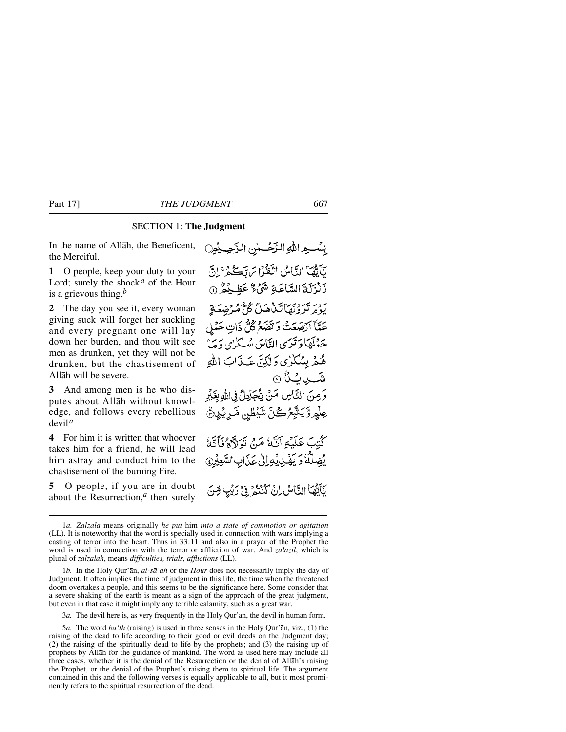### SECTION 1: **The Judgment**

In the name of Allåh, the Beneficent, the Merciful.

**1** O people, keep your duty to your Lord; surely the shock*<sup>a</sup>* of the Hour is a grievous thing.*<sup>b</sup>*

**2** The day you see it, every woman giving suck will forget her suckling and every pregnant one will lay down her burden, and thou wilt see men as drunken, yet they will not be drunken, but the chastisement of Allåh will be severe.

**3** And among men is he who disputes about Allåh without knowledge, and follows every rebellious devil*a*—

**4** For him it is written that whoever takes him for a friend, he will lead him astray and conduct him to the chastisement of the burning Fire.

**5** O people, if you are in doubt about the Resurrection,*<sup>a</sup>* then surely

بِسْعِ اللَّهِ الزَّحْسٰنِ الزَّحِيْمِِنِ تآيُّهَا النَّاسُ اتَّقَوْا سَ تَكُّرُّ إِنَّ رَلْزَلَةَ السَّاعَةِ شَيْءٌ عَظِيْمٌ (0 بردية وبيئا تناهيلُ گلُّ مُدْخِهِعَةِ ۖ عَمَّآ اَرْضَعَتۡ وَتَصَعُمُ كُلُّ ذَاتِ حَمْلِ ځېلچا د ترې الناس مېڭىزى د ما هُمْ بِسُكْرُى وَلَٰكِنَّ عَـٰذَابَ اللهِ <del>ش</del>ىپ يەڭ ۞ وَصِنَ النَّاسِ صَنْ يُحْكِيلُ فِىاللهِ بِغَيْرِ عِلْمِ رَّ يَتَّبِعُ كُلِّ شَيْطِنٍ مَّـرِيْدِنِّ كُتِبَ عَلَيْهِ آتَّهُ مَنْ تَوَلَّاهُ فَأَتَّهُ يُضِلُّهُ وَيَضْى يُوَالِيُ عَذَابِ السَّعِيْرِ } نَأَتُهَاَ النَّاسُ إِنْ كُنْتُمْ ۚ فِي زِيْبِ مِّنَ

3*a.* The devil here is, as very frequently in the Holy Qur'ån, the devil in human form.

5*a.* The word *ba'th* (raising) is used in three senses in the Holy Qur'ån, viz., (1) the raising of the dead to life according to their good or evil deeds on the Judgment day; (2) the raising of the spiritually dead to life by the prophets; and (3) the raising up of prophets by Allåh for the guidance of mankind. The word as used here may include all three cases, whether it is the denial of the Resurrection or the denial of Allåh's raising the Prophet, or the denial of the Prophet's raising them to spiritual life. The argument contained in this and the following verses is equally applicable to all, but it most prominently refers to the spiritual resurrection of the dead.

<sup>1</sup>*a. Zalzala* means originally *he put* him *into a state of commotion or agitation* (LL). It is noteworthy that the word is specially used in connection with wars implying a casting of terror into the heart. Thus in 33:11 and also in a prayer of the Prophet the word is used in connection with the terror or affliction of war. And *zalåzil*, which is plural of *zalzalah*, means *difficulties, trials, afflictions* (LL).

<sup>1</sup>*b.* In the Holy Qur'ån, *al-så'ah* or the *Hour* does not necessarily imply the day of Judgment. It often implies the time of judgment in this life, the time when the threatened doom overtakes a people, and this seems to be the significance here. Some consider that a severe shaking of the earth is meant as a sign of the approach of the great judgment, but even in that case it might imply any terrible calamity, such as a great war.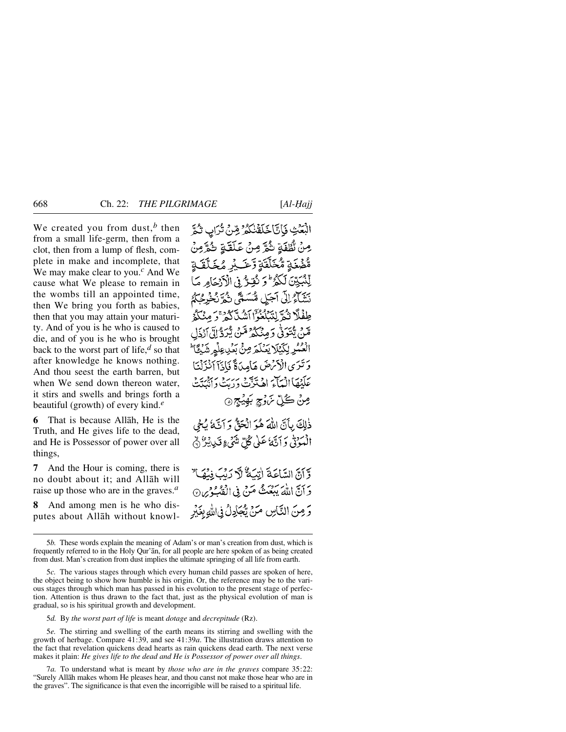We created you from dust,<sup>b</sup> then from a small life-germ, then from a clot, then from a lump of flesh, complete in make and incomplete, that We may make clear to you.*<sup>c</sup>* And We cause what We please to remain in the wombs till an appointed time, then We bring you forth as babies, then that you may attain your maturity. And of you is he who is caused to die, and of you is he who is brought back to the worst part of life,*<sup>d</sup>* so that after knowledge he knows nothing. And thou seest the earth barren, but when We send down thereon water. it stirs and swells and brings forth a beautiful (growth) of every kind.*<sup>e</sup>*

**6** That is because Allåh, He is the Truth, and He gives life to the dead, and He is Possessor of power over all things,

**7** And the Hour is coming, there is no doubt about it; and Allåh will raise up those who are in the graves.*<sup>a</sup>*

**8** And among men is he who disputes about Allåh without knowlالْبَعَٰثِ فَبَاتَا خَلَقْنُكُمْ مِّرْحٍ تُرَابٍ ثُمَّ مِنْ نُطْفَةٍ شُرَّ مِنْ عَلَقَةِ شُرَّمِنْ ةَ مِّنَى تَمْخَلَّقَةٍ رَّحَـٰ لِمِّ مُخَلَّقَةٍ لِّنْبَيِّينَ لَكُوْلُو كُقِيرٌ فِي الْأَدْخَامِ صَا نِيَنَاءُ إِلَى آجَلِ مُسَتَّقِّ نُمَّ نُخْرِجُكُمُ طِفْلًا نُمُّ لِتَنْكُوُّآ أَشُلَّكُمْ ۚ وَ مِنْكُمُّ قْنَ يَّتَوَفَّىٰ رَمِنْكُمْ مَّنْ يُرَدُّ إِلَّىٰ أَرْذَلِ الْعُمُّرِ لِكَيْلَا يَعْلَمَ مِنْ بَعُرِ عِلْهِ شَيْئًا ۚ وَ تَبْرَى الْأَنْرَضَ هَامِدَةً فَإِذَآ أَنْزَلْنَا عَلَيْهَا الْمَاءَ اهْتُزَتَ دَرَيْهِ بِهِ بِمَدْيَنَهِ مِنْ ڪُلِّ سَوْچِ بَهِيُجِ ۞

ذٰلِكَ بِأَنَّ اللَّهَ هُوَ الْحَقُّ وَ اَنَّهُ يُجْي الْمَبْوَنِي وَ أَنَّهَ عَلَى كُلِّ شَيْءٍ قَدِيدَةٌ ۞

وَّ أَنَّ السَّاعَةَ إِنْكَةٌ لَّا رَبَّ فِنْهَا ٌ دَ أَنَّ اللَّهَ يَبْعَثُ مَنْ فِي الْفَبُّهُ مِنْ  $\oslash$ وَ مِنَ النَّاسِ مَنْ يُجَادِلُ فِي اللهِ بِغَيْرِ

5*d.* By *the worst part of life* is meant *dotage* and *decrepitude* (Rz).

5*e.* The stirring and swelling of the earth means its stirring and swelling with the growth of herbage. Compare 41:39, and see 41:39*a*. The illustration draws attention to the fact that revelation quickens dead hearts as rain quickens dead earth. The next verse makes it plain: *He gives life to the dead and He is Possessor of power over all things*.

7*a.* To understand what is meant by *those who are in the graves* compare 35:22: "Surely Allåh makes whom He pleases hear, and thou canst not make those hear who are in the graves". The significance is that even the incorrigible will be raised to a spiritual life.

<sup>5</sup>*b.* These words explain the meaning of Adam's or man's creation from dust, which is frequently referred to in the Holy Qur'ån, for all people are here spoken of as being created from dust. Man's creation from dust implies the ultimate springing of all life from earth.

<sup>5</sup>*c.* The various stages through which every human child passes are spoken of here, the object being to show how humble is his origin. Or, the reference may be to the various stages through which man has passed in his evolution to the present stage of perfection. Attention is thus drawn to the fact that, just as the physical evolution of man is gradual, so is his spiritual growth and development.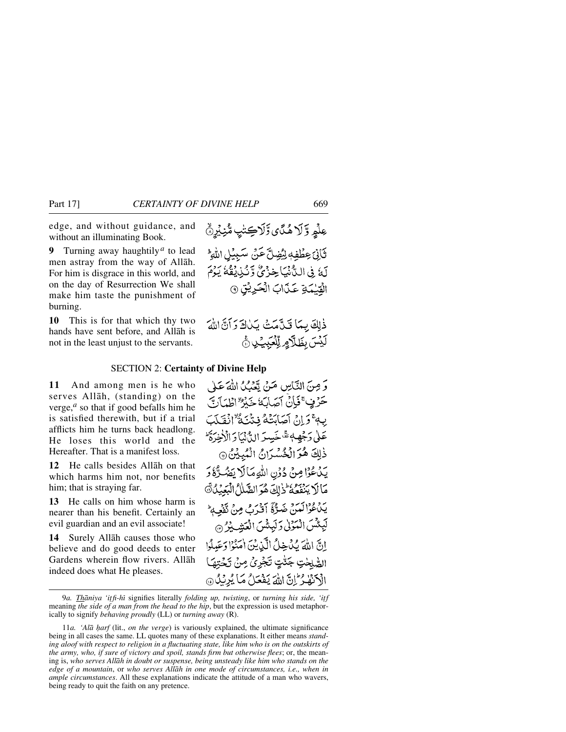edge, and without guidance, and without an illuminating Book.

**9** Turning away haughtily*<sup>a</sup>* to lead men astray from the way of Allåh. For him is disgrace in this world, and on the day of Resurrection We shall make him taste the punishment of burning.

**10** This is for that which thy two hands have sent before, and Allåh is not in the least unjust to the servants.

عِلْمٍ وَّ لَا هُنَّ يَ وَّلَاكِتْنِي مُّنِيْرِنَّ ثَانِيَ عِطْفِهِ لِبُضِلَّ عَنْ سَبِيْلِ اللَّهِ لَهُ فِي اللَّانِّيَا خِزْئٌ وَّنْذِيْقُهُ يَوْمَ الْقِيْمَةِ عَذَابَ الْحَرِيْقِ ۞

### SECTION 2: **Certainty of Divine Help**

**11** And among men is he who serves Allåh, (standing) on the verge,*<sup>a</sup>* so that if good befalls him he is satisfied therewith, but if a trial afflicts him he turns back headlong. He loses this world and the Hereafter. That is a manifest loss.

**12** He calls besides Allåh on that which harms him not, nor benefits him; that is straying far.

**13** He calls on him whose harm is nearer than his benefit. Certainly an evil guardian and an evil associate!

**14** Surely Allåh causes those who believe and do good deeds to enter Gardens wherein flow rivers. Allåh indeed does what He pleases.

وَ مِنَ التَّاسِ مَنْ تَعْبُكُ اللَّهَ عَلَىٰ حَرْفٍ عَيْانٌ آصَابَهُ خَبْرٌ لِطَيَأَتَ بِهِ ۚ وَ إِنۡ أَصَابَتۡهُمۡ فِنۡنَيۡهُ ۗ ۚ أَفۡقَلَبَ عَلَىٰ دَجْهِهٖ ثَمَّ خَسِدَ الدُّنْمَاْ دَ الْأَخِدَةُ ۖ ذٰلِكَ هُوَ الْخُسْرَانُ الْمُبِيْنُ ٢ يَدْعُوْا مِنْ دُوْنِ اللَّهِ مَالَا يَضُرُّهُ وَ مَالَا يَنْفَعُهُ ذَلِكَ هُوَ الصَّلَامُ الْبَعْبُلُ ١ يَدْءُدْالَمَنْ ضَرّْةً أَقْرَبُ مِنْ تَفْعِهِ لْبِئْسَ الْمُؤْلِّي وَلَيِئْسَ الْعَشِيْرُ إِنَّ اللَّهَ كَنْ خِلُّ الَّذِينَ أَمَنُوْا دَعَيلُوا الصّْلحْتِ جَنّْتٍ تَجْرِيُ مِنْ تَجْتِهَا الْكَنْهْدُ إِنَّ اللَّهَ يَفْعَلُ مَا يُرِيْلُ @

9*a. Thāniya 'itfi-hī* signifies literally *folding up, twisting*, or *turning his side*, 'itf meaning *the side of a man from the head to the hip*, but the expression is used metaphorically to signify *behaving proudly* (LL) or *turning away* (R).

<sup>11</sup>*a.* 'Alā harf (lit., *on the verge*) is variously explained, the ultimate significance being in all cases the same. LL quotes many of these explanations. It either means *standing aloof with respect to religion in a fluctuating state, like him who is on the outskirts of the army, who, if sure of victory and spoil, stands firm but otherwise flees*; or, the meaning is, *who serves Allåh in doubt or suspense, being unsteady like him who stands on the edge of a mountain*, or *who serves Allåh in one mode of circumstances, i.e., when in ample circumstances*. All these explanations indicate the attitude of a man who wavers, being ready to quit the faith on any pretence.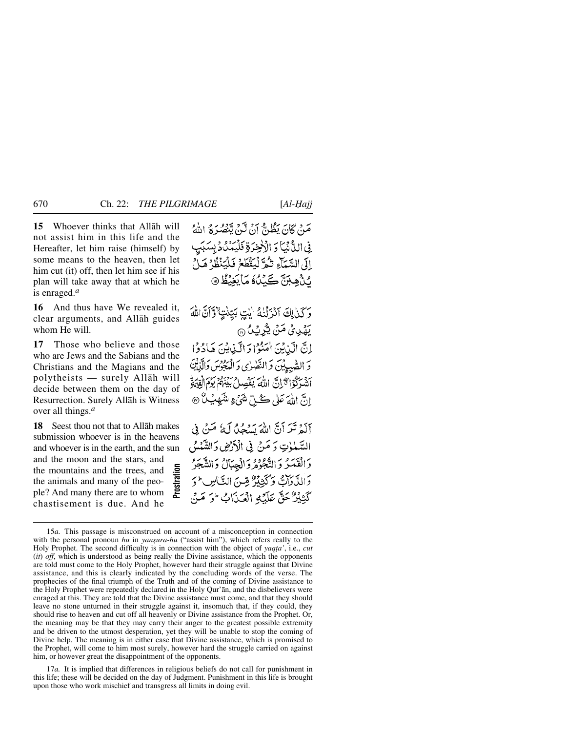**15** Whoever thinks that Allåh will not assist him in this life and the Hereafter, let him raise (himself) by some means to the heaven, then let him cut (it) off, then let him see if his plan will take away that at which he is enraged.*<sup>a</sup>*

**16** And thus have We revealed it, clear arguments, and Allåh guides whom He will.

**17** Those who believe and those who are Jews and the Sabians and the Christians and the Magians and the polytheists — surely Allåh will decide between them on the day of Resurrection. Surely Allåh is Witness over all things.*<sup>a</sup>*

**18** Seest thou not that to Allåh makes submission whoever is in the heavens and whoever is in the earth, and the sun and the moon and the stars, and the mountains and the trees, and the animals and many of the people? And many there are to whom chastisement is due. And he **Prostration** مَنْ كَانَ يَظُنُّ أَنْ لَيْنَ يَنْصُرُهُ اللَّهُ فِي الدَّْثِيَّا وَ الْأَخِيَرَةِ فَلْيَمَدُّدُ بِسَبَبِ إِلَى السَّمَاءِ تَكُّوَّ لِيَقْطَعُ فَلْيَنْظُرُ هَـلُّ *ڻ ه*ن ڪَٽُنُ مَايَغِيْظُ @

وَكَنْ لِكَ آَنْزَلْنَهُ إِيْتٍ بَيِّنْتٍ ۚ وَآَنَّ اللَّهَ يَهْدِيْ مَنْ يُزْنِيْنُ ۞ إِنَّ الَّذِينَ امْنُوْا وَالَّذِينَ هَادُوْا وَ الصّْبِيِيْنَ وَ النَّصْرٰى وَ الْمَعْجُوسَ وَالَّذِيْنَ أَنْتُبِرَكُوْا تَرَانَّ اللَّهَ يَفْصِلُ بَيْنَهُمْ يَوْمَ إِنْقِيْهَةً انَّ اللَّهَ عَلَى كُبِّلِّ شَيْءٍ مِنْتَمِهِي<sup>ْب</sup>ُلُّ @ آلَهُ تَبَدَ أَنَّ اللَّهَ يَسْجُدُ لَهُ صَنْ فِي السَّمْٰوٰتِ وَ صَنْ فِي الْأَرْضِ وَالشَّمْسُ وَالْقَدَرُ وَالتَّجُوْمُ وَالْجِبَالُ وَالشَّجَرُ

وَالِدَّدَاتِ وَكَنِيْدُ صِّنَ النَّاسِ ۚ وَ كَتْبَيْرٌ حَقٌّ عَلَيْهِ الْعَيْدَابُ ۚ وَ مَيْنَ

15*a.* This passage is misconstrued on account of a misconception in connection with the personal pronoun *hu* in *yanşura-hu* ("assist him"), which refers really to the Holy Prophet. The second difficulty is in connection with the object of *yaqta'*, i.e., *cut* (*it*) *off*, which is understood as being really the Divine assistance, which the opponents are told must come to the Holy Prophet, however hard their struggle against that Divine assistance, and this is clearly indicated by the concluding words of the verse. The prophecies of the final triumph of the Truth and of the coming of Divine assistance to the Holy Prophet were repeatedly declared in the Holy Qur'ån, and the disbelievers were enraged at this. They are told that the Divine assistance must come, and that they should leave no stone unturned in their struggle against it, insomuch that, if they could, they should rise to heaven and cut off all heavenly or Divine assistance from the Prophet. Or, the meaning may be that they may carry their anger to the greatest possible extremity and be driven to the utmost desperation, yet they will be unable to stop the coming of Divine help. The meaning is in either case that Divine assistance, which is promised to the Prophet, will come to him most surely, however hard the struggle carried on against him, or however great the disappointment of the opponents.

17*a.* It is implied that differences in religious beliefs do not call for punishment in this life; these will be decided on the day of Judgment. Punishment in this life is brought upon those who work mischief and transgress all limits in doing evil.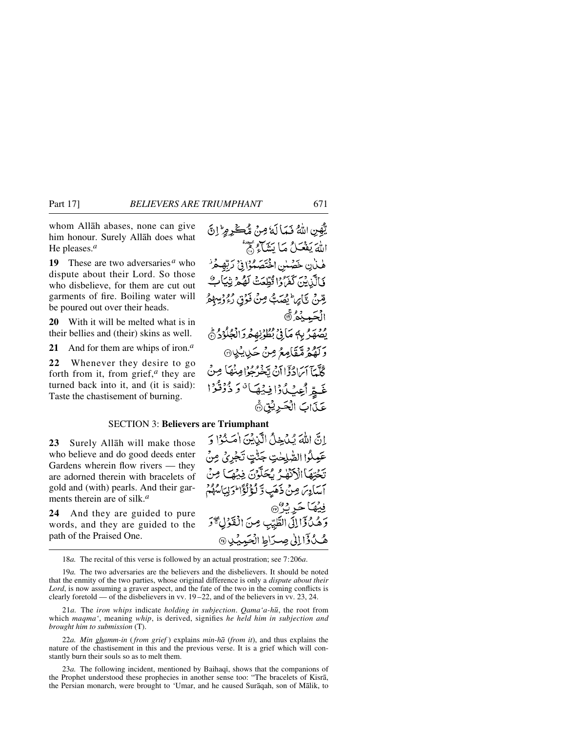whom Allåh abases, none can give him honour. Surely Allåh does what He pleases.*<sup>a</sup>*

**19** These are two adversaries*<sup>a</sup>* who dispute about their Lord. So those who disbelieve, for them are cut out garments of fire. Boiling water will be poured out over their heads.

**20** With it will be melted what is in their bellies and (their) skins as well.

**21** And for them are whips of iron.*<sup>a</sup>*

**22** Whenever they desire to go forth from it, from grief,*<sup>a</sup>* they are turned back into it, and (it is said): Taste the chastisement of burning.

إِنَّ اللَّهَ يُدْخِلُ الَّذِيْنَ اٰمَنُوْا وَ عَمِلُوا الصَّلِحٰتِ جَنَّتٍ تَجْرِيُ مِنْ تَحْتِهَا الْأَنْهَٰرُ يُحَلَّوْنَ فِيهِ كَا مِنْ آسَادِسَ مِنْ ذَهَبِ وَّ لَؤُلُؤْاً وَلِيَأْسُهُمْ

وَهُدُ وَإِلِلَى الطَّيِّبِ مِنَ الْفَوْلَ \* وَ

هُكُ وَٓالِلٰى صِدَاطِ الْحَيِّيْدِ ۞

فِيْهَا حَرِيْرُ

## SECTION 3: **Believers are Triumphant**

**23** Surely Allåh will make those who believe and do good deeds enter Gardens wherein flow rivers — they are adorned therein with bracelets of gold and (with) pearls. And their garments therein are of silk.*<sup>a</sup>*

**24** And they are guided to pure words, and they are guided to the path of the Praised One.

18*a.* The recital of this verse is followed by an actual prostration; see 7:206*a*.

19*a.* The two adversaries are the believers and the disbelievers. It should be noted that the enmity of the two parties, whose original difference is only a *dispute about their Lord*, is now assuming a graver aspect, and the fate of the two in the coming conflicts is clearly foretold — of the disbelievers in vv. 19 –22, and of the believers in vv. 23, 24.

21*a.* The *iron whips* indicate *holding in subjection*. *Qama'a-h∂*, the root from which *maqma'*, meaning *whip*, is derived, signifies *he held him in subjection and brought him to submission* (T).

22*a. Min ghamm-in* (*from grief* ) explains *min-hå* (*from it*), and thus explains the nature of the chastisement in this and the previous verse. It is a grief which will constantly burn their souls so as to melt them.

23*a*. The following incident, mentioned by Baihaqi, shows that the companions of the Prophet understood these prophecies in another sense too: "The bracelets of Kisrå, the Persian monarch, were brought to 'Umar, and he caused Suråqah, son of Målik, to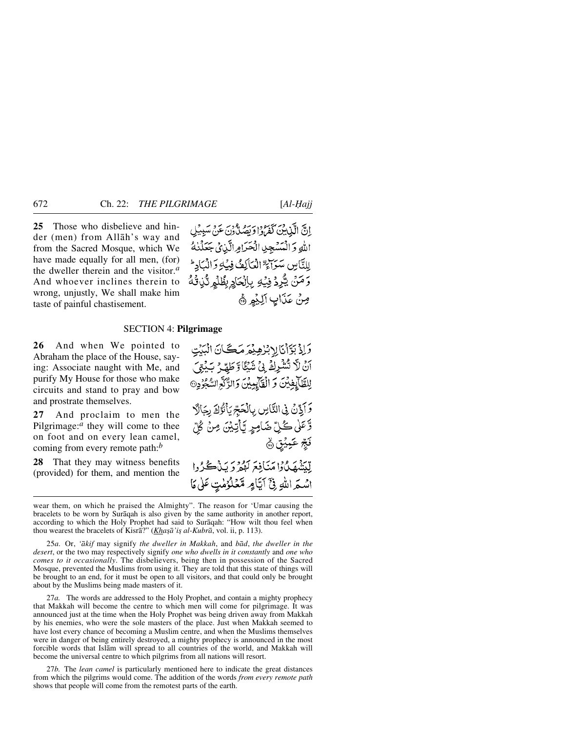**25** Those who disbelieve and hinder (men) from Allåh's way and from the Sacred Mosque, which We have made equally for all men, (for) the dweller therein and the visitor.*<sup>a</sup>* And whoever inclines therein to wrong, unjustly, We shall make him taste of painful chastisement.

إِنَّ الَّذِينَ كَفَرُوا وَبَصَلَّاوُنَ عَنْ مَبْدِيْلِ الله وَالْمَسْجِدِ الْحَرَامِ الَّذِي جَعَلْنِهُ للتَّامِينِ مَبْيَوْاتٍ ۗ الْعَاكِمَةُ فِيبُهِ وَالْمَبَادِ ۖ وَمَنْ يُزْرِدُ فِيْهِ بِإِلْحَادٍ بِظُلْهِرِ نَّذِيَّهُ مِنْ عَذَابِ اَلِيْمِرِ ﴾

#### SECTION 4: **Pilgrimage**

**26** And when We pointed to Abraham the place of the House, saying: Associate naught with Me, and purify My House for those who make circuits and stand to pray and bow and prostrate themselves.

**27** And proclaim to men the Pilgrimage:*<sup>a</sup>* they will come to thee on foot and on every lean camel, coming from every remote path:*<sup>b</sup>*

**28** That they may witness benefits (provided) for them, and mention the

آنٌ لَا تُنْتُرِكَ لِيُ شَيْئًا وَطَهِّرُ بَيْنِيَ لِلظَّالِغِيْنَ وَ الْقَالِيِيْنَ وَالرَّكَّةِ السُّجُرُدِ® وَأَذِّنَ فِى النَّاسِ بِالْحَجِّ يَأْتُوُكَ رِجَالًا وَّعَلٰى كُلِّ ضَامِرٍ يَّأْتِيْنَ مِنْ كُلِّ

وَإِذْبَوَّاْنَالِإِبْرٰهِيْمَ مَكَانَ الْبَيْتِ

لِّيَنْهُهَدُكُوا مَنَافِعَ لَهُمْ دِيَنْ گُرُدا اِسْمَ اللَّهِ فِيَّ آيَّامٍ مَّعْلُوُمٰتٍ عَلَىٰ مَا

نَجِّ عَبِيْقٍ ۞

25*a.* Or, *'åkif* may signify *the dweller in Makkah*, and *båd*, *the dweller in the desert*, or the two may respectively signify *one who dwells in it constantly* and *one who comes to it occasionally*. The disbelievers, being then in possession of the Sacred Mosque, prevented the Muslims from using it. They are told that this state of things will be brought to an end, for it must be open to all visitors, and that could only be brought about by the Muslims being made masters of it.

27*a.* The words are addressed to the Holy Prophet, and contain a mighty prophecy that Makkah will become the centre to which men will come for pilgrimage. It was announced just at the time when the Holy Prophet was being driven away from Makkah by his enemies, who were the sole masters of the place. Just when Makkah seemed to have lost every chance of becoming a Muslim centre, and when the Muslims themselves were in danger of being entirely destroyed, a mighty prophecy is announced in the most forcible words that Islåm will spread to all countries of the world, and Makkah will become the universal centre to which pilgrims from all nations will resort.

27*b.* The *lean camel* is particularly mentioned here to indicate the great distances from which the pilgrims would come. The addition of the words *from every remote path* shows that people will come from the remotest parts of the earth.

wear them, on which he praised the Almighty". The reason for 'Umar causing the bracelets to be worn by Suråqah is also given by the same authority in another report, according to which the Holy Prophet had said to Suråqah: "How wilt thou feel when thou wearest the bracelets of Kisrā?" (*Khașā'iș al-Kubrā*, vol. ii, p. 113).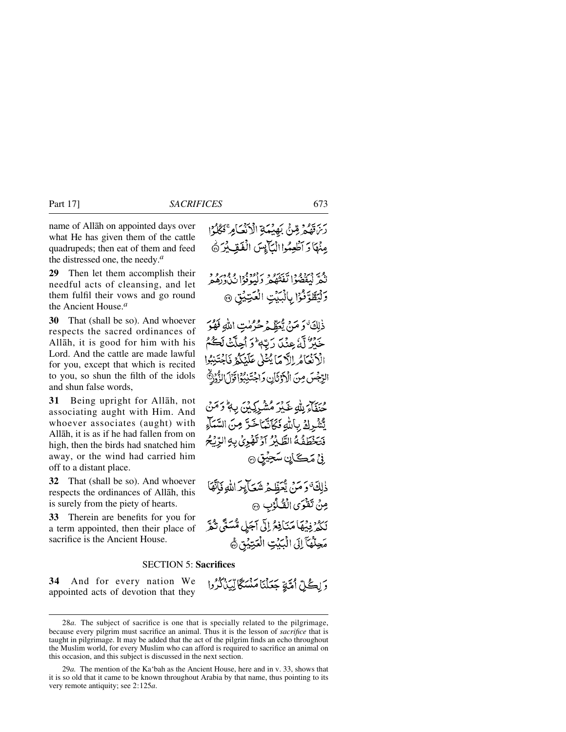name of Allåh on appointed days over what He has given them of the cattle quadrupeds; then eat of them and feed the distressed one, the needy.*<sup>a</sup>*

**29** Then let them accomplish their needful acts of cleansing, and let them fulfil their vows and go round the Ancient House.*<sup>a</sup>*

**30** That (shall be so). And whoever respects the sacred ordinances of Allåh, it is good for him with his Lord. And the cattle are made lawful for you, except that which is recited to you, so shun the filth of the idols and shun false words,

**31** Being upright for Allåh, not associating aught with Him. And whoever associates (aught) with Allåh, it is as if he had fallen from on high, then the birds had snatched him away, or the wind had carried him off to a distant place.

**32** That (shall be so). And whoever respects the ordinances of Allåh, this is surely from the piety of hearts.

**33** Therein are benefits for you for a term appointed, then their place of sacrifice is the Ancient House.

رَّنْ قَهُمُّ قِنْ بَهِيْمَةِ الْأَنْعَامِ ۚ نَكُلُوْا مِنْهَا وَ آَطْعِمُوا الْيَأْيِسَ الْفَقِيشِ @

نَّكُمْ لَيُقْضُوْا نَفْتُهُمْ دَلِيُوْفُوْا بُرُوْرُوْ و 5لْيَطَّوَّفُوْ إِبِالْبَيْتِ الْعَتِيْنِ @

ذٰلِكَ ٰوَ مَنْ يُعَظِّمُ حُرُمٰتِ اللَّهِ فَهُوَ حَيْرٌ لَّهُ عِنْدَ رَبِّهٖ ۚ وَ أَحِلَّتْ لَكُمْ الْأَنْعَامُ اِللَّهَ مَا يُتْلَى عَلَيْكُمْ فَاجْتَنِبُوا الرِّجْسَ مِنَ الْآدَثَانِ وَاجْتَنِبُوْا قَوْلَ الزُّوْرُ

ورسر له يَ مَرِ مِنْ مِنْ بِهِ بِهِ وَمَنْ يَّشْرِكَ بِأَلَّهِ فَكَأَنَّمَا خَزَّ مِنَ السَّمَاءِ فَتَخْطَفُهُ الطَّيْرُ أَوْ تَهْرِيُ بِهِ الرِّيْحُ ُ فِيْ مَڪَأَيْنِ سَجِيْتِنِ ۞

ذٰلِكَ ۚ وَ مَنۡ يُّعَظِّمُ شَعَآ بِدَاللَّهِ فَإِنَّهَا مِنْ تَفْرَى الْقُلُوْبِ ۞ لِكُمْ فِيْهَامَنَافِعُ إِلَىٰ آجَلِ مُّسَتَّى تُكْرَ مَحِلَّهُآ إِلَى الْبَيْتِ الْعَتِيْقِ ﴾

#### SECTION 5: **Sacrifices**

**34** And for every nation We appointed acts of devotion that they وَلِكُلِّ أُمَّةٍ جَعَلْنَا مَنْسَكًا لِّيَذَكُرُوا

<sup>28</sup>*a.* The subject of sacrifice is one that is specially related to the pilgrimage, because every pilgrim must sacrifice an animal. Thus it is the lesson of *sacrifice* that is taught in pilgrimage. It may be added that the act of the pilgrim finds an echo throughout the Muslim world, for every Muslim who can afford is required to sacrifice an animal on this occasion, and this subject is discussed in the next section.

<sup>29</sup>*a.* The mention of the Ka'bah as the Ancient House, here and in v. 33, shows that it is so old that it came to be known throughout Arabia by that name, thus pointing to its very remote antiquity; see 2:125*a*.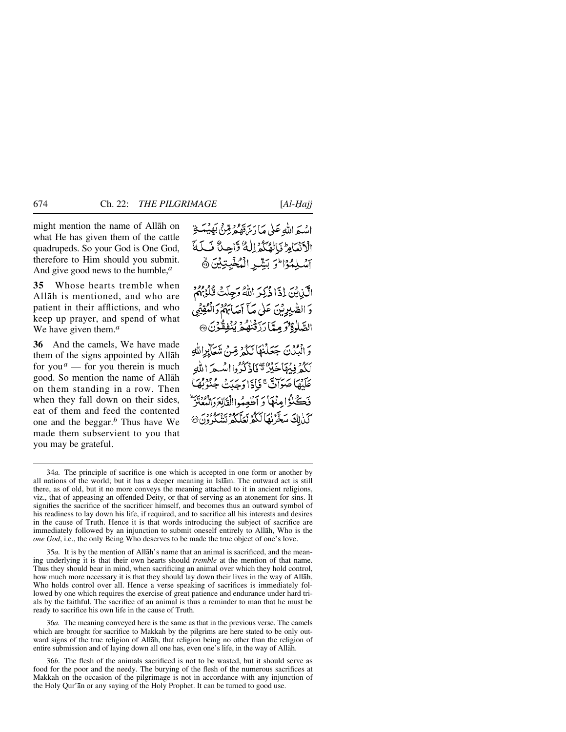might mention the name of Allåh on what He has given them of the cattle quadrupeds. So your God is One God, therefore to Him should you submit. And give good news to the humble,*<sup>a</sup>*

**35** Whose hearts tremble when Allåh is mentioned, and who are patient in their afflictions, and who keep up prayer, and spend of what We have given them.*<sup>a</sup>*

**36** And the camels, We have made them of the signs appointed by Allåh for you  $^a$  — for you therein is much good. So mention the name of Allåh on them standing in a row. Then when they fall down on their sides, eat of them and feed the contented one and the beggar.*<sup>b</sup>* Thus have We made them subservient to you that you may be grateful.

اسْبَر اللّٰہِ عَلٰی مَا رَسِّرَةُ مُرِثِّنٌ بَھِیۡبَـٰتِهِ الْأَنْعَامِ بَالْهُكُمْ لِلْهُ وَّاحِدٌ فَى لَمَّةَ آسُلِمُوْاِلِّوَ بَشِّرِ الْمُخْبِتِيْنَ ﴾ الَّيْنِ بَيْنَ إِذَا ذَٰكِيرَ اللَّهُ وَجِلَتْ قُلُوْبِهُمْ وَ الصّٰبِرِيْنَ عَلَىٰ مَآ أَصَابَهُمْ وَالْمُقِيِّمِي الصَّلْوَةِ وَمِمَّا رَزَقْنَهُمْ يُنْفِقُوْنَ ۞ دَ الْمَدْنَ جَعَلْنِهَا لَكُهْ مِّينَ شَعَايِرِاللَّهِ لَكُمْ فِيهَاجَيْنٌ ثَافَادُكُوواامْيِجْ اللَّهِ عَلَيْهَا صَوَاتٌ عَجَادَا دَجَدَتْ جُنُوْ فَكَّلُّوْامِنْهَا وَأَطْعِيُواالْقَانِعَ دَانِعَةٍ يَسْتَرَ كَنْ لِكَ سَخَّرْنَهَا لَكُمْ نَعَلَّكُمْ نَشْكُرُونَ ۞

35*a.* It is by the mention of Allåh's name that an animal is sacrificed, and the meaning underlying it is that their own hearts should *tremble* at the mention of that name. Thus they should bear in mind, when sacrificing an animal over which they hold control, how much more necessary it is that they should lay down their lives in the way of Allåh, Who holds control over all. Hence a verse speaking of sacrifices is immediately followed by one which requires the exercise of great patience and endurance under hard trials by the faithful. The sacrifice of an animal is thus a reminder to man that he must be ready to sacrifice his own life in the cause of Truth.

36*a.* The meaning conveyed here is the same as that in the previous verse. The camels which are brought for sacrifice to Makkah by the pilgrims are here stated to be only outward signs of the true religion of Allåh, that religion being no other than the religion of entire submission and of laying down all one has, even one's life, in the way of Allåh.

36*b.* The flesh of the animals sacrificed is not to be wasted, but it should serve as food for the poor and the needy. The burying of the flesh of the numerous sacrifices at Makkah on the occasion of the pilgrimage is not in accordance with any injunction of the Holy Qur'ån or any saying of the Holy Prophet. It can be turned to good use.

<sup>34</sup>*a.* The principle of sacrifice is one which is accepted in one form or another by all nations of the world; but it has a deeper meaning in Islåm. The outward act is still there, as of old, but it no more conveys the meaning attached to it in ancient religions, viz., that of appeasing an offended Deity, or that of serving as an atonement for sins. It signifies the sacrifice of the sacrificer himself, and becomes thus an outward symbol of his readiness to lay down his life, if required, and to sacrifice all his interests and desires in the cause of Truth. Hence it is that words introducing the subject of sacrifice are immediately followed by an injunction to submit oneself entirely to Allåh, Who is the *one God*, i.e., the only Being Who deserves to be made the true object of one's love.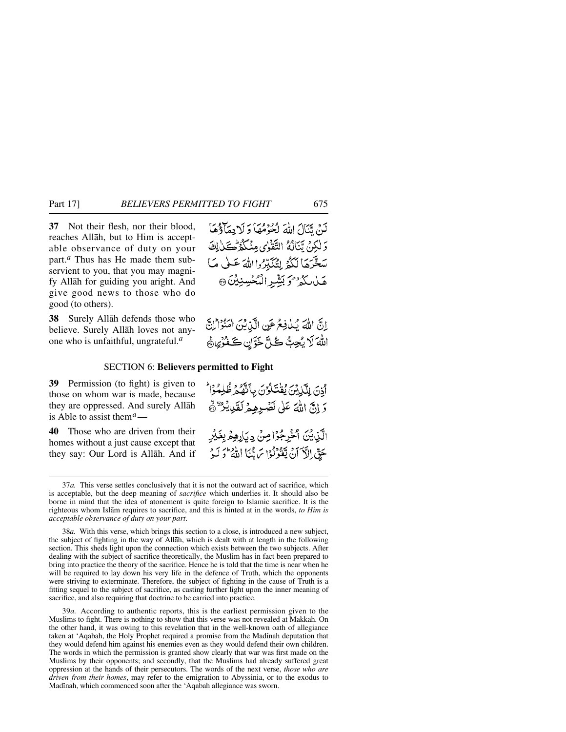**37** Not their flesh, nor their blood, reaches Allåh, but to Him is acceptable observance of duty on your part.*<sup>a</sup>* Thus has He made them subservient to you, that you may magnify Allåh for guiding you aright. And give good news to those who do good (to others).

**38** Surely Allåh defends those who believe. Surely Allåh loves not anyone who is unfaithful, ungrateful.*<sup>a</sup>*

لَنْ تَنَالَ اللَّهَ لَكُوْمُهَا وَلَا دِمَاؤُهَا وَلَٰكِنۡ يَّنَالُهُ التَّفْرٰى مِنۡكُمۡ ِ كَٰٓنَٰ لِكَ سَخَّرَهَا لَكُمُّ لِتُكَبِّرُوا اللَّهَ عَلَى مَا هَلْالِكُمْرَ لِمَ بَشِّرِ الْمُكْسِنِيْنَ @

اِنَّ اللَّهَ يُكْفِعُ عَنِ الَّذِيْنَ امْنُوْاْ إِنَّ اللَّهَ لَا يُحِبُّ كُلَّ خَزَّانٍ كَفْرُيٍّ هَ

#### SECTION 6: **Believers permitted to Fight**

**39** Permission (to fight) is given to those on whom war is made, because they are oppressed. And surely Allåh is Able to assist them*a*—

**40** Those who are driven from their homes without a just cause except that they say: Our Lord is Allåh. And if اَدْنَ لِلَّذِيْنَ يُقْتَلُوْنَ بِأَنَّهُمْ ظُلِمُوْاْ وَإِنَّ اللَّهَ عَلَى نَصْرِهِهِ لَقَلِيدٌ فَهَ الَّذِينَ ٱخْرِجُوْاصِنْ دِيَارِهِمْ بِغَيْرِ حَقِّ إِلَّا َأَنْ يَقْوَلُوْا سَ تَبْنَا اللَّهُ لَوَ لَيْهِ

38*a.* With this verse, which brings this section to a close, is introduced a new subject, the subject of fighting in the way of Allåh, which is dealt with at length in the following section. This sheds light upon the connection which exists between the two subjects. After dealing with the subject of sacrifice theoretically, the Muslim has in fact been prepared to bring into practice the theory of the sacrifice. Hence he is told that the time is near when he will be required to lay down his very life in the defence of Truth, which the opponents were striving to exterminate. Therefore, the subject of fighting in the cause of Truth is a fitting sequel to the subject of sacrifice, as casting further light upon the inner meaning of sacrifice, and also requiring that doctrine to be carried into practice.

39*a.* According to authentic reports, this is the earliest permission given to the Muslims to fight. There is nothing to show that this verse was not revealed at Makkah. On the other hand, it was owing to this revelation that in the well-known oath of allegiance taken at 'Aqabah, the Holy Prophet required a promise from the Madinah deputation that they would defend him against his enemies even as they would defend their own children. The words in which the permission is granted show clearly that war was first made on the Muslims by their opponents; and secondly, that the Muslims had already suffered great oppression at the hands of their persecutors. The words of the next verse, *those who are driven from their homes*, may refer to the emigration to Abyssinia, or to the exodus to Madinah, which commenced soon after the 'Aqabah allegiance was sworn.

<sup>37</sup>*a.* This verse settles conclusively that it is not the outward act of sacrifice, which is acceptable, but the deep meaning of *sacrifice* which underlies it. It should also be borne in mind that the idea of atonement is quite foreign to Islamic sacrifice. It is the righteous whom Islåm requires to sacrifice, and this is hinted at in the words, *to Him is acceptable observance of duty on your part*.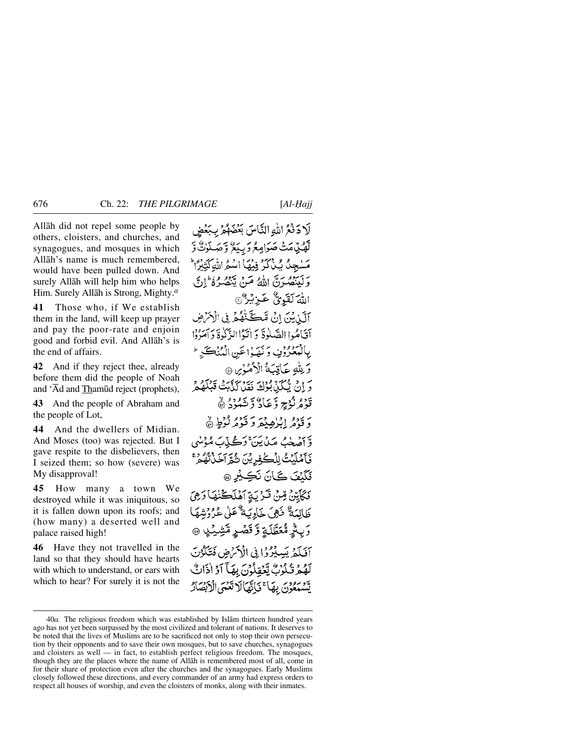Allåh did not repel some people by others, cloisters, and churches, and synagogues, and mosques in which Allåh's name is much remembered, would have been pulled down. And surely Allåh will help him who helps Him. Surely Allåh is Strong, Mighty.*<sup>a</sup>*

**41** Those who, if We establish them in the land, will keep up prayer and pay the poor-rate and enjoin good and forbid evil. And Allåh's is the end of affairs.

**42** And if they reject thee, already before them did the people of Noah and 'Åd and Tham∂d reject (prophets),

**43** And the people of Abraham and the people of Lot,

**44** And the dwellers of Midian. And Moses (too) was rejected. But I gave respite to the disbelievers, then I seized them; so how (severe) was My disapproval!

**45** How many a town We destroyed while it was iniquitous, so it is fallen down upon its roofs; and (how many) a deserted well and palace raised high!

**46** Have they not travelled in the land so that they should have hearts with which to understand, or ears with which to hear? For surely it is not the

لَادَفْعُ اللَّهِ النَّاسَ بَعْضَهُمْ بِبَعْضٍ لَّهُنِّ مَتَّ صَوَامِعُ وَ بِيَعُ ۚ وَ صَلَوْكٌ وَّ مَسْجِدٌ بَكَّنْ كِرْفِيْهَا اسْمُ اللَّهِكَنِيْرًا وَكَيْنَصُونَ اللَّهُ صَنْ يَّنْصُرُهُ ۚ إِنَّ اللهَ لَقَوِيٌّ عَـزِيْهِ ۗ آلَيْنِيْنَ إِنْ قَكَ تَّهْدُ فِي الْأَمْرَضِ أقياهُما الصَّلْوةَ دَ اٰتَهُا الزَّكْيَةَ وَأَصَرْوْا بِالْمُعْرُوُفِ وَنَهَدْاعَينِ الْمُنْكَبِرِ ۚ دَ بِلَّٰلَٰهِ حَأَقِيَةُ الْأَهُمُوْسِ ۞ كَرَّانَ يُّكِّكِنَّابُوْكَ نَقِيْنَ كَنَّابَتْ قَبْلُهُمْ قَرْهُ نُزْجٍ وَّعَادُ وَ شَهْرُدُ ۞ دَ قَوْمُ إِبْرٰهِ يُعَرِّ وَ قَوْمُهُ لَّزُطٍ ۞ وَّ أَصْعُبُ مَدْيَنَ وَكُے بِّابَ مُؤْمِنِي فَأَمْلَيْتُ لِلْكَٰفِرِيْنَ شُمَّ آخَذُتُهُ وَمَّ نَكَنْفَ كَانَ نَكِيْرِ ۞ فَكَأَيْتِنْ قِينْ قَدْيَةٍ أَهْلَكْنَٰكَا دَهِيَ ظَالِمَةٌ فَهِيَ خَاوِيَةٌ عَلَىٰ عُرُوْشِهَا وَبِئْرِ مُّعَطَّلَةٍ وَّ قَصْرٍ مَّشِيْكِ ۞ آفيكفر يَسِيْرُوْا فِي الْأَحْرَضِ فَتَكْوُنَ لَهُمُ تُكُوُبُ يَعْقِلُونَ بِهَآ آدُ اٰذَانُّ يَّسْمَعُوْنَ بِهَا ۚ يَأْتَّهَالَا تَعْمَى الْأَبْصَادُ

<sup>40</sup>*a.* The religious freedom which was established by Islåm thirteen hundred years ago has not yet been surpassed by the most civilized and tolerant of nations. It deserves to be noted that the lives of Muslims are to be sacrificed not only to stop their own persecution by their opponents and to save their own mosques, but to save churches, synagogues and cloisters as well — in fact, to establish perfect religious freedom. The mosques, though they are the places where the name of Allåh is remembered most of all, come in for their share of protection even after the churches and the synagogues. Early Muslims closely followed these directions, and every commander of an army had express orders to respect all houses of worship, and even the cloisters of monks, along with their inmates.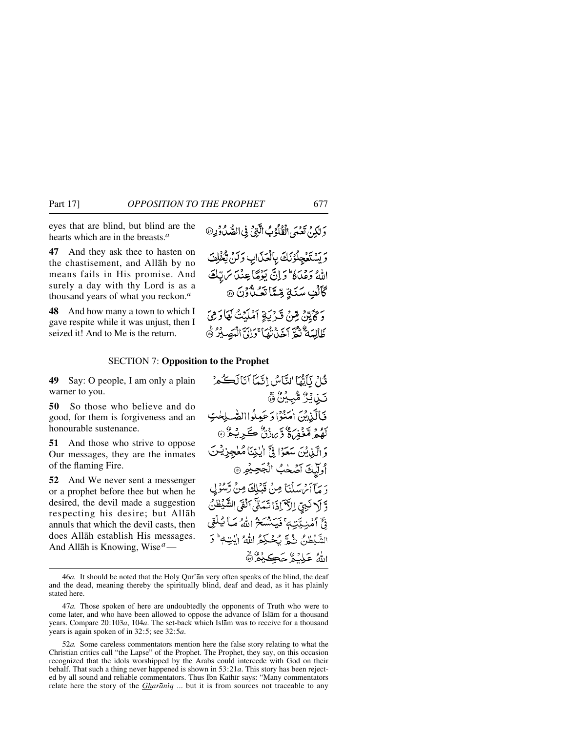eyes that are blind, but blind are the hearts which are in the breasts.*<sup>a</sup>*

**47** And they ask thee to hasten on the chastisement, and Allåh by no means fails in His promise. And surely a day with thy Lord is as a thousand years of what you reckon.*<sup>a</sup>*

**48** And how many a town to which I gave respite while it was unjust, then I seized it! And to Me is the return.

وَ لِكُنْ تَعْنَى الْقُلُوْبُ الَّتِيْ فِي الصُّدُودِ۞

ريدين والذاتى بالعكاب وكن يخلف اللهُ وَعِلَاهُ وَإِنَّ يَوْمًا عِنْدَا مَ بِبَكَ كَأَلُّفِ سَنَةٍ مِّيَّاً تَعَـٰلُّ ُرْنَ ۞

وَكَأَيِّنْ مِّنْ قَدْيَةٍ آمْلَيْتُ لَهَا دَهِيَ ظَالِمَةٌ تُمَّ آخَذَتْهَا وَإِنَّ الْمَصِيْرُ @

#### SECTION 7: **Opposition to the Prophet**

**49** Say: O people, I am only a plain warner to you.

**50** So those who believe and do good, for them is forgiveness and an honourable sustenance.

**51** And those who strive to oppose Our messages, they are the inmates of the flaming Fire.

**52** And We never sent a messenger or a prophet before thee but when he desired, the devil made a suggestion respecting his desire; but Allåh annuls that which the devil casts, then does Allåh establish His messages. And Allåh is Knowing, Wise*a*—

ثَاثِرِ نَأَنَّهَا النَّامُ ، انَّبَآ أَنَالَڪُمْ تَيْنَ يُرُ مُّبِيِّنَّ ۞ فَالَّذِينَ اٰمَنُوۡا وَعَبِيلُواالصَّبِيحٰتِ بَهُمْ مَّعْفِرَةٌ وَّبِرَدْنٌ ڪَرِيْثُرْ۞ وَ الَّذِينَ سَعَوْا فِيَّ الْبَيْنَا مُعْجِزِيْتَ أُولَّيْكَ آَصُحْبُ الْجَحِيْمِ ۞ دِ مَآأَيْنِ سَلْنَا مِنْ قَبْلِكَ مِنْ رَّسُوْلِي وَّ إِلا نَبِيِّ إِلاَّ إِذَا تَعَنِّي اَلْقَى الشَّيْطُنُ وْتِحْ أَمْنِ يَتِيهِ ۚ فَيَكْنُسَخُ اللَّهُ مَبَا يُكْفِي الشَّنْظِينُ شُيَّةً يُخْبَكُمُ اللَّهُ إِلَيْتِهِ ۚ وَ اللهُ عَلِيْئُرْحَكِيْثُرْ

52*a.* Some careless commentators mention here the false story relating to what the Christian critics call "the Lapse" of the Prophet. The Prophet, they say, on this occasion recognized that the idols worshipped by the Arabs could intercede with God on their behalf. That such a thing never happened is shown in 53:21*a*. This story has been rejected by all sound and reliable commentators. Thus Ibn Kathir says: "Many commentators relate here the story of the *Gharāniq* ... but it is from sources not traceable to any

<sup>46</sup>*a.* It should be noted that the Holy Qur'ån very often speaks of the blind, the deaf and the dead, meaning thereby the spiritually blind, deaf and dead, as it has plainly stated here.

<sup>47</sup>*a.* Those spoken of here are undoubtedly the opponents of Truth who were to come later, and who have been allowed to oppose the advance of Islåm for a thousand years. Compare 20:103*a*, 104*a*. The set-back which Islåm was to receive for a thousand years is again spoken of in 32:5; see 32:5*a*.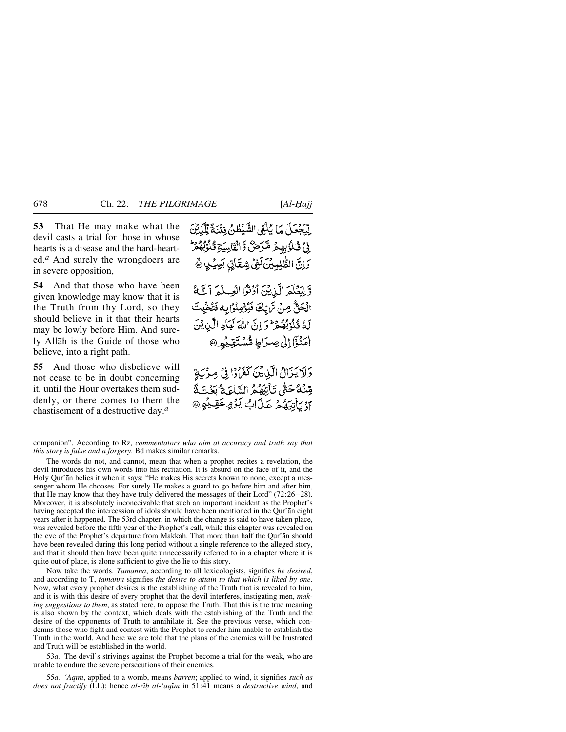ed.*<sup>a</sup>* And surely the wrongdoers are in severe opposition,

**54** And that those who have been given knowledge may know that it is the Truth from thy Lord, so they should believe in it that their hearts may be lowly before Him. And surely Allåh is the Guide of those who believe, into a right path.

**55** And those who disbelieve will not cease to be in doubt concerning it, until the Hour overtakes them suddenly, or there comes to them the chastisement of a destructive day.*<sup>a</sup>*

لِّيَجْعَلَ مَا يُلْقِى الشَّيْطُنُ فِتْنَةً تِّلَّذِيْنَ ِفِيَ ثَلُوۡ بِهِجۡ مَّرَضٌ وَّ الۡقَاسِيَةِ قَالَوۡبُهُمۡرَ وَإِنَّ الطُّلِيِينَ لَفِي شِقَاتٍ بَعِيْدٍ ﴾

وَّلِيَعۡلَمَ الَّذِينَ أَوْتُوْاالْعِيَلَٰمَ آتَ ۖ الْحَقَّ مِنْ تَرَبَّكَ فَيُؤْمِنُوَابِهِ فَتُخْبِتَ لَةُ قُلُوْبُهُ هُمْ وَ إِنَّ اللَّهَ لَهَاْجِهِ الَّيْنِ بَيْنَ امَنْزَا إِلَىٰ صِرَاطٍ مُّسْتَقِيْهِ @

وَلَا يَزَالُ الَّذِينَ كَفَرَوْا فِي مِرْيَةٍ وِّنْهُ حَتَّى تَأْتِيَهُمُّ السَّاعَةُ بَذَّتَةَ ]وُ يَأْتِيَهُمْ عَذَابُ يَوْمٍ عَقِينُهِ @

The words do not, and cannot, mean that when a prophet recites a revelation, the devil introduces his own words into his recitation. It is absurd on the face of it, and the Holy Qur'ån belies it when it says: "He makes His secrets known to none, except a messenger whom He chooses. For surely He makes a guard to go before him and after him, that He may know that they have truly delivered the messages of their Lord" (72:26–28). Moreover, it is absolutely inconceivable that such an important incident as the Prophet's having accepted the intercession of idols should have been mentioned in the Qur'ån eight years after it happened. The 53rd chapter, in which the change is said to have taken place, was revealed before the fifth year of the Prophet's call, while this chapter was revealed on the eve of the Prophet's departure from Makkah. That more than half the Qur'ån should have been revealed during this long period without a single reference to the alleged story, and that it should then have been quite unnecessarily referred to in a chapter where it is quite out of place, is alone sufficient to give the lie to this story.

Now take the words. *Tamannå*, according to all lexicologists, signifies *he desired*, and according to T, *tamanni* signifies *the desire to attain to that which is liked by one*. Now, what every prophet desires is the establishing of the Truth that is revealed to him, and it is with this desire of every prophet that the devil interferes, instigating men, *making suggestions to them*, as stated here, to oppose the Truth. That this is the true meaning is also shown by the context, which deals with the establishing of the Truth and the desire of the opponents of Truth to annihilate it. See the previous verse, which condemns those who fight and contest with the Prophet to render him unable to establish the Truth in the world. And here we are told that the plans of the enemies will be frustrated and Truth will be established in the world.

53*a.* The devil's strivings against the Prophet become a trial for the weak, who are unable to endure the severe persecutions of their enemies.

55*a. 'Aqßm*, applied to a womb, means *barren*; applied to wind, it signifies *such as does not fructify* (LL); hence *al-rß√ al-'aqßm* in 51:41 means a *destructive wind*, and

companion". According to Rz, *commentators who aim at accuracy and truth say that this story is false and a forgery*. Bd makes similar remarks.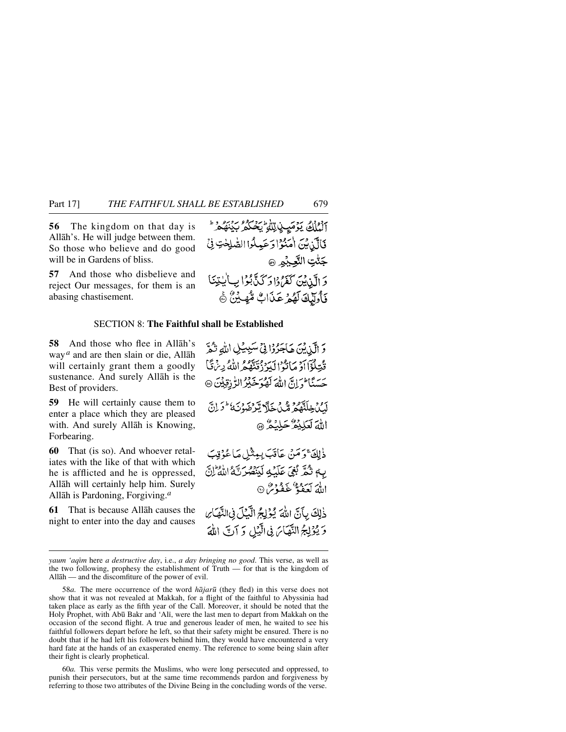**56** The kingdom on that day is Allåh's. He will judge between them. So those who believe and do good will be in Gardens of bliss.

**57** And those who disbelieve and reject Our messages, for them is an abasing chastisement.

آلْمُلْكُ يَوْمَيِ لِاللَّهِ يَحْكُمُ بَيْنَهُمْ \* فَالَّذِينَ اٰمَنُوْا دَعَيِكُوا الصَّٰلِحٰتِ فِي جَنُّتِ النَّعِيْهِ ۞ وَ الَّذِينَ كَفَرُدُاوَ كَذَّبُوْا بِبِالْبِيِّنَا فَأُولَٰٓئِكَ لَهُمۡ عَذَابٌ مُّهِيَّنُ ﴾

#### SECTION 8: **The Faithful shall be Established**

**58** And those who flee in Allåh's way*<sup>a</sup>* and are then slain or die, Allåh will certainly grant them a goodly sustenance. And surely Allåh is the Best of providers.

**59** He will certainly cause them to enter a place which they are pleased with. And surely Allåh is Knowing, Forbearing.

**60** That (is so). And whoever retaliates with the like of that with which he is afflicted and he is oppressed, Allåh will certainly help him. Surely Allåh is Pardoning, Forgiving.*<sup>a</sup>*

**61** That is because Allåh causes the night to enter into the day and causes

وَ الَّذِيْنَ هَاجَرُوْا فِي سَبِيِّلِ اللَّهِ تُمَّ قُتِلُوۡٓآاَوۡ مَاتُوۡالۡلّهِ دُقَنَّهُمُ اللّٰهُ بِنۡءَقَّا حَسَنًا حَرَارَ إِلَيْهِ لَهُوَ خَيْرُ الرُّ زِقِيْنَ ۞ لَّكِنْ خِلَنَّهُمْ مَّكَ خَلَّا يَّرْضَوْنَهُ ۚ وَلِنَّ اللهَ لَعَلِيْمٌ حَلِيْمٌ ۞

ذٰلِكَ ۚ وَمَنۡ عَاتَبَ بِيثَٰلِ مَاعُوۡتِبَ بِهِ تُمَّرِّ بُغِيَ عَلَيْهِ لَيَنْصُرُنَّهُ اللَّهُ إِنَّ اللهَ لَعَفُهٌ غَفْدُسٌ ۞

ذٰلِكَ بِآنَّ اللهَ يُؤْلِجُ الَّيْلَ فِى النَّهَارَ وَيُؤْلِّجُ النَّهَاسَ فِي الَّذِلِ وَ آتِ اللَّهَ

58*a.* The mere occurrence of the word *håjar∂* (they fled) in this verse does not show that it was not revealed at Makkah, for a flight of the faithful to Abyssinia had taken place as early as the fifth year of the Call. Moreover, it should be noted that the Holy Prophet, with Abū Bakr and 'Ali, were the last men to depart from Makkah on the occasion of the second flight. A true and generous leader of men, he waited to see his faithful followers depart before he left, so that their safety might be ensured. There is no doubt that if he had left his followers behind him, they would have encountered a very hard fate at the hands of an exasperated enemy. The reference to some being slain after their fight is clearly prophetical.

60*a.* This verse permits the Muslims, who were long persecuted and oppressed, to punish their persecutors, but at the same time recommends pardon and forgiveness by referring to those two attributes of the Divine Being in the concluding words of the verse.

*yaum 'aqßm* here *a destructive day*, i.e., *a day bringing no good*. This verse, as well as the two following, prophesy the establishment of Truth — for that is the kingdom of Allåh — and the discomfiture of the power of evil.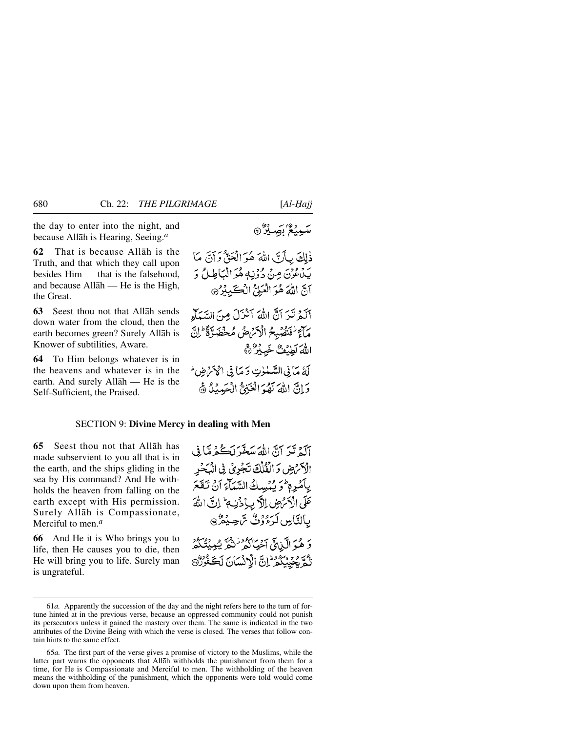the day to enter into the night, and because Allåh is Hearing, Seeing.*<sup>a</sup>*

**62** That is because Allåh is the Truth, and that which they call upon besides Him — that is the falsehood, and because Allåh — He is the High, the Great.

**63** Seest thou not that Allåh sends down water from the cloud, then the earth becomes green? Surely Allåh is Knower of subtilities, Aware.

**64** To Him belongs whatever is in the heavens and whatever is in the earth. And surely Allåh — He is the Self-Sufficient, the Praised.

ذٰلِكَ بِأَنَّ اللَّهَ هُوَ الْحَقَّ وَ آنَّ مَا بَدْءُدَيَ مِنْ دُوْنِهِ هُوَ الْمَأْطِيلُ وَ آنّ اللهَ هُوَ الْعَلِيُّ الْكَيْبِيْرُ، آلَهُ تَيَرَ آنَّ اللَّهَ آنْنَزَلَ مِنَ السَّمَآءِ مَالَجَ نُغَصُّبِهُمُ الْأَمْرَاضُ مُحْضَدّةً كَمَ إِنّ اللهَ لَطِيعٌ خَبِيرٌ ٢ لَةُ مَا فِي السَّمْلُوتِ وَ مَا فِي الْجَمَّ ضِ ط وَإِنَّ اللَّهَ لَهُوَ الْعَيْقُ الْجَدِيْلُ ﴾

#### SECTION 9: **Divine Mercy in dealing with Men**

**65** Seest thou not that Allåh has made subservient to you all that is in the earth, and the ships gliding in the sea by His command? And He withholds the heaven from falling on the earth except with His permission. Surely Allåh is Compassionate, Merciful to men.*<sup>a</sup>*

**66** And He it is Who brings you to life, then He causes you to die, then He will bring you to life. Surely man is ungrateful.

آلَةَ تَيْرَ آنَّ اللَّهَ سَعَّرَ لَڪُمْ مَبَا فِي الْكَرْضِ وَالْقُلْكَ تَجْرِيْ فِي الْبَحْدِ بِبِكَمْدِهِ ۖ وَ يُبْسِيكُ السَّيَأَءَ أَنْ تَتَعَعَ عَلَى الْأَمْرَضِ إِلَّا بِبِإِذْنِيهِ ۖ إِنَّ اللَّهَ بِالنَّاسِ لَرَءُوۡنُ سَّ حِيۡهُمۡنَ وَ هُوَ الَّذِيقَ آَخِيَاكُمْ نَنْهُمْ يُعِيْنُنَكُمْ نَّهُمَّ بِمُحْدِثِكُمْ إِنَّ الْأَنْسَانَ لَڪَفُرُرُّهَ

<sup>61</sup>*a.* Apparently the succession of the day and the night refers here to the turn of fortune hinted at in the previous verse, because an oppressed community could not punish its persecutors unless it gained the mastery over them. The same is indicated in the two attributes of the Divine Being with which the verse is closed. The verses that follow contain hints to the same effect.

<sup>65</sup>*a.* The first part of the verse gives a promise of victory to the Muslims, while the latter part warns the opponents that Allåh withholds the punishment from them for a time, for He is Compassionate and Merciful to men. The withholding of the heaven means the withholding of the punishment, which the opponents were told would come down upon them from heaven.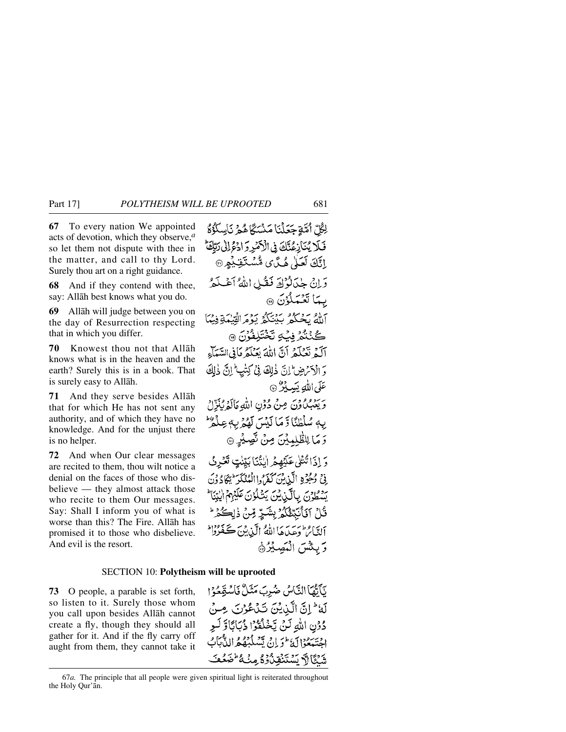**67** To every nation We appointed acts of devotion, which they observe,*<sup>a</sup>* so let them not dispute with thee in the matter, and call to thy Lord. Surely thou art on a right guidance.

**68** And if they contend with thee, say: Allåh best knows what you do.

**69** Allåh will judge between you on the day of Resurrection respecting that in which you differ.

**70** Knowest thou not that Allåh knows what is in the heaven and the earth? Surely this is in a book. That is surely easy to Allåh.

**71** And they serve besides Allåh that for which He has not sent any authority, and of which they have no knowledge. And for the unjust there is no helper.

**72** And when Our clear messages are recited to them, thou wilt notice a denial on the faces of those who disbelieve — they almost attack those who recite to them Our messages. Say: Shall I inform you of what is worse than this? The Fire. Allåh has promised it to those who disbelieve. And evil is the resort.

لِكُلِّ أُمَّةٍ جَعَلْنَا مَنْسَكًا هُمْ نَاسِلُوُّةُ فَلَا يُنَازِعُنَّكَ فِي الْأَصْرِ وَ ادْعُ لِلْي رَبَّكَ إِنَّكَ لَعَلٰىٰ هُكَّ)ى مُّسْتَقِبْهِمِ ۞ وَإِنْ جِبْدَانُوْلَةَ فَقُبْلِ اللَّهُ أَعْبَدَهُ بِيمَا تَعْمَلُوْنَ ۞ الله يحكم بينكو برم الفيكة فيما ڴڹٛؿ۠ۯڣۑؙڮڷڿٛؾۜڸڟؙۯڽؘۨ۞ آلَهُ تَعْلَمُ أَنَّ اللَّهَ يَعْلَمُ مَا فِي السَّمَاءِ وَالْآَتْرِضِ لِنَّ ذٰلِكَ فِي كِتْبِ ۚ إِنَّ ذٰلِكَ عَلَى اللَّهِ يَسِيذُرٌ ۞ وَيَعْبُكُونَ مِنْ دُوْنِ اللَّهِ مَالَهُ يُذَلِّ يِهٖ سُلۡظُنَٗا وَّ مَا لَيۡسَ لَهُمۡ بِهٖ عِلۡمُ ۗ وَ مَا لِلظَّٰلِمِيْنَ مِنْ نَّصِيْرِ ۞ وَ إِذَا تُتْلَى عَلَيْهِمْ إِيْنُنَا بَيِّنْتٍ تَعْرِثُ في وُجُوْدِ الَّذِينَ كَفَرُوا الْمُنْكَرَّ يُكَادُونَ يَسْطُونَ بِالَّذِيْنَ يَتْلُوْنَ عَلَيْهِمُ الْيَتِنَا \* قُلْ آفَأَنَبِتَّغُكُمْ بِشَيِّرٍ مِّنْ ذٰلِكُمْ ۚ التَّائِرُ وَعِيدَهَا اللَّهُ الَّذِينَ كَفَرُوْا وَبِئْسَ الْمَصِيْرُ۞

#### SECTION 10: **Polytheism will be uprooted**

**73** O people, a parable is set forth, so listen to it. Surely those whom you call upon besides Allåh cannot create a fly, though they should all gather for it. And if the fly carry off aught from them, they cannot take it

نَأَنَّهَاَ النَّاسُ ضُرِبَ مَثَلٌ فَاسْتَعَوُا لَهُ ثَلِنَّ الَّذِيْنَ تَدْعُوُنَ مِنْ دُوْنِ اللَّهِ لَنْ يَخْلُقُوْا ذُبَايَاتَاوَّ لَـوِ اجتنبعوا كه مؤران يشكّبهُ واللَّهُ بِابْ شَكَّالاً يَسْتَنْقِدْ وُوُمِنْهُ طَهَعْتَ

<sup>67</sup>*a.* The principle that all people were given spiritual light is reiterated throughout the Holy Qur'ån.